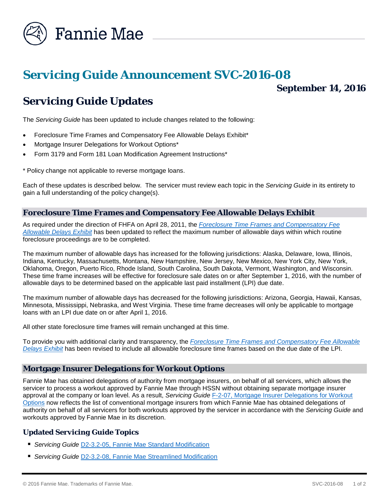

# *Servicing Guide* **Announcement SVC-2016-08**

# **September 14, 2016**

# *Servicing Guide* **Updates**

The *Servicing Guide* has been updated to include changes related to the following:

- Foreclosure Time Frames and Compensatory Fee Allowable Delays Exhibit\*
- Mortgage Insurer Delegations for Workout Options\*
- Form 3179 and Form 181 Loan Modification Agreement Instructions\*

\* Policy change not applicable to reverse mortgage loans.

Each of these updates is described below. The servicer must review each topic in the *Servicing Guide* in its entirety to gain a full understanding of the policy change(s).

## **Foreclosure Time Frames and Compensatory Fee Allowable Delays Exhibit**

As required under the direction of FHFA on April 28, 2011, the *[Foreclosure Time Frames and Compensatory Fee](https://www.fanniemae.com/content/guide_exhibit/foreclosure-timeframes-compensatory-fees-allowable-delays.pdf)  [Allowable Delays Exhibit](https://www.fanniemae.com/content/guide_exhibit/foreclosure-timeframes-compensatory-fees-allowable-delays.pdf)* has been updated to reflect the maximum number of allowable days within which routine foreclosure proceedings are to be completed.

The maximum number of allowable days has increased for the following jurisdictions: Alaska, Delaware, Iowa, Illinois, Indiana, Kentucky, Massachusetts, Montana, New Hampshire, New Jersey, New Mexico, New York City, New York, Oklahoma, Oregon, Puerto Rico, Rhode Island, South Carolina, South Dakota, Vermont, Washington, and Wisconsin. These time frame increases will be effective for foreclosure sale dates on or after September 1, 2016, with the number of allowable days to be determined based on the applicable last paid installment (LPI) due date.

The maximum number of allowable days has decreased for the following jurisdictions: Arizona, Georgia, Hawaii, Kansas, Minnesota, Mississippi, Nebraska, and West Virginia. These time frame decreases will only be applicable to mortgage loans with an LPI due date on or after April 1, 2016.

All other state foreclosure time frames will remain unchanged at this time.

To provide you with additional clarity and transparency, the *[Foreclosure Time Frames and Compensatory Fee Allowable](https://www.fanniemae.com/content/guide_exhibit/foreclosure-timeframes-compensatory-fees-allowable-delays.pdf)  [Delays Exhibit](https://www.fanniemae.com/content/guide_exhibit/foreclosure-timeframes-compensatory-fees-allowable-delays.pdf)* has been revised to include all allowable foreclosure time frames based on the due date of the LPI.

### **Mortgage Insurer Delegations for Workout Options**

Fannie Mae has obtained delegations of authority from mortgage insurers, on behalf of all servicers, which allows the servicer to process a workout approved by Fannie Mae through HSSN without obtaining separate mortgage insurer approval at the company or loan level. As a result, *Servicing Guide* [F-2-07, Mortgage Insurer Delegations for Workout](https://www.fanniemae.com/content/guide/svc091416.pdf#page=1058)  [Options](https://www.fanniemae.com/content/guide/svc091416.pdf#page=1058) now reflects the list of conventional mortgage insurers from which Fannie Mae has obtained delegations of authority on behalf of all servicers for both workouts approved by the servicer in accordance with the *Servicing Guide* and workouts approved by Fannie Mae in its discretion.

### **Updated** *Servicing Guide* **Topics**

- *Servicing Guide* [D2-3.2-05, Fannie Mae Standard Modification](https://www.fanniemae.com/content/guide/svc091416.pdf#page=492)
- *Servicing Guide* [D2-3.2-08, Fannie Mae Streamlined Modification](https://www.fanniemae.com/content/guide/svc091416.pdf#page=515)